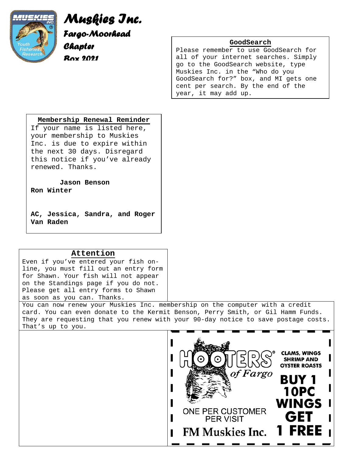

*Muskies Inc. Fargo-Moorhead Chapter Box 2021* 

### **GoodSearch**

Please remember to use GoodSearch for all of your internet searches. Simply go to the GoodSearch website, type Muskies Inc. in the "Who do you GoodSearch for?" box, and MI gets one cent per search. By the end of the year, it may add up.

### **Membership Renewal Reminder**

If your name is listed here, your membership to Muskies Inc. is due to expire within the next 30 days. Disregard this notice if you've already renewed. Thanks.

**Jason Benson** 

**Ron Winter** 

**AC, Jessica, Sandra, and Roger Van Raden** 

## **Attention**

Even if you've entered your fish online, you must fill out an entry form for Shawn. Your fish will not appear on the Standings page if you do not. Please get all entry forms to Shawn as soon as you can. Thanks.

You can now renew your Muskies Inc. membership on the computer with a credit card. You can even donate to the Kermit Benson, Perry Smith, or Gil Hamm Funds. They are requesting that you renew with your 90-day notice to save postage costs. That's up to you.

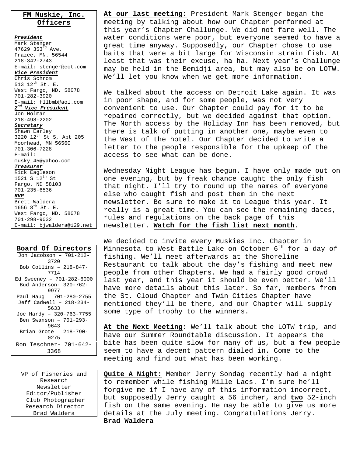## **FM Muskie, Inc. Officers**

*President* Mark Stenger 47629 353rd Ave. Frazee, MN. 56544 218-342-2743 E-mail: stenger@eot.com *Vice President* Chris Schrom 513 12<sup>th</sup> St. E. West Fargo, ND. 58078 701-282-3920 E-mail: f11bmb@aol.com *2nd Vice President* Jon Holman 218-498-2202 *Secretary* Shawn Earley 3220 12th St S, Apt 205 Moorhead, MN 56560 701-306-7228 E-mail: musky\_45@yahoo.com *Treasurer* Rick Eagleson 1521 S  $12^{th}$  St Fargo, ND 58103 701-235-6536 *RVP* Brett Waldera 1656  $8^{th}$  St. E. West Fargo, ND. 58078 701-298-9032 E-mail: bjwaldera@i29.net

| Board Of Directors        |
|---------------------------|
| Jon Jacobson - 701-212-   |
| 3720                      |
| Bob Collins - 218-847-    |
| 7714                      |
| Ed Sweeney - 701-282-6000 |
| Bud Anderson- 320-762-    |
| 9977                      |
| Paul Haug - 701-280-2755  |
| Jeff Cadwell - 218-234-   |
| 5633                      |
| Joe Hardy - 320-763-7755  |
| Ben Swanson - 701-293-    |
| 9643                      |
| Brian Grote - 218-790-    |
| 0275                      |
| Ron Teschner- 701-642-    |
| 3368                      |
|                           |

VP of Fisheries and Research Newsletter Editor/Publisher Club Photographer Research Director Brad Waldera

**At our last meeting:** President Mark Stenger began the meeting by talking about how our Chapter performed at this year's Chapter Challunge. We did not fare well. The water conditions were poor, but everyone seemed to have a great time anyway. Supposedly, our Chapter chose to use baits that were a bit large for Wisconsin strain fish. At least that was their excuse, ha ha. Next year's Challunge may be held in the Bemidji area, but may also be on LOTW. We'll let you know when we get more information.

We talked about the access on Detroit Lake again. It was in poor shape, and for some people, was not very convenient to use. Our Chapter could pay for it to be repaired correctly, but we decided against that option. The North access by the Holiday Inn has been removed, but there is talk of putting in another one, maybe even to the West of the hotel. Our Chapter decided to write a letter to the people responsible for the upkeep of the access to see what can be done.

Wednesday Night League has begun. I have only made out on one evening, but by freak chance caught the only fish that night. I'll try to round up the names of everyone else who caught fish and post them in the next newsletter. Be sure to make it to League this year. It really is a great time. You can see the remaining dates, rules and regulations on the back page of this newsletter. **Watch for the fish list next month**.

We decided to invite every Muskies Inc. Chapter in Minnesota to West Battle Lake on October  $6<sup>th</sup>$  for a day of fishing. We'll meet afterwards at the Shoreline Restaurant to talk about the day's fishing and meet new people from other Chapters. We had a fairly good crowd last year, and this year it should be even better. We'll have more details about this later. So far, members from the St. Cloud Chapter and Twin Cities Chapter have mentioned they'll be there, and our Chapter will supply some type of trophy to the winners.

**At the Next Meeting**: We'll talk about the LOTW trip, and have our Summer Roundtable discussion. It appears the bite has been quite slow for many of us, but a few people seem to have a decent pattern dialed in. Come to the meeting and find out what has been working.

**Quite A Night:** Member Jerry Sondag recently had a night to remember while fishing Mille Lacs. I'm sure he'll forgive me if I have any of this information incorrect, but supposedly Jerry caught a 56 incher, and **two** 52-inch fish on the same evening. He may be able to give us more details at the July meeting. Congratulations Jerry. **Brad Waldera**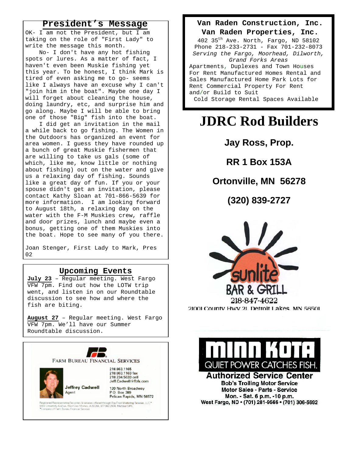## **President's Message**

OK- I am not the President, but I am taking on the role of "First Lady" to write the message this month.

 No- I don't have any hot fishing spots or lures. As a matter of fact, I haven't even been Muskie fishing yet this year. To be honest, I think Mark is tired of even asking me to go- seems like I always have an excuse why I can't "join him in the boat". Maybe one day I will forget about cleaning the house, doing laundry, etc, and surprise him and go along. Maybe I will be able to bring one of those "Big" fish into the boat.

 I did get an invitation in the mail a while back to go fishing. The Women in the Outdoors has organized an event for area women. I guess they have rounded up a bunch of great Muskie fishermen that are willing to take us gals (some of which, like me, know little or nothing about fishing) out on the water and give us a relaxing day of fishing. Sounds like a great day of fun. If you or your spouse didn't get an invitation, please contact Kathy Sloan at 701-866-5639 for more information. I am looking forward to August 18th, a relaxing day on the water with the F-M Muskies crew, raffle and door prizes, lunch and maybe even a bonus, getting one of them Muskies into the boat. Hope to see many of you there.

Joan Stenger, First Lady to Mark, Pres 02

## **Upcoming Events**

**July 23** – Regular meeting. West Fargo VFW 7pm. Find out how the LOTW trip went, and listen in on our Roundtable discussion to see how and where the fish are biting.

**August 27** – Regular meeting. West Fargo VFW 7pm. We'll have our Summer Roundtable discussion.



### **Van Raden Construction, Inc.**

#### **Van Raden Properties, Inc.**

402 35th Ave. North, Fargo, ND 58102 Phone 218-233-2731 - Fax 701-232-8073 *Serving the Fargo, Moorhead, Dilworth, Grand Forks Areas* Apartments, Duplexes and Town Houses For Rent Manufactured Homes Rental and Sales Manufactured Home Park Lots for Rent Commercial Property For Rent and/or Build to Suit Cold Storage Rental Spaces Available

# **JDRC Rod Builders**

**Jay Ross, Prop.** 

**RR 1 Box 153A** 

## **Ortonville, MN 56278**

**(320) 839-2727**





**Authorized Service Center Bob's Trolling Motor Service** Motor Sales - Parts - Service Mon. - Sat. 6 p.m. -10 p.m. West Fargo, ND · (701) 281-9566 · (701) 306-5692